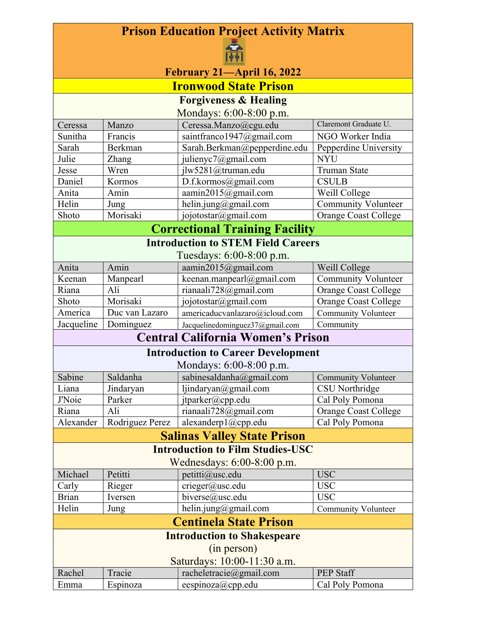## **Prison Education Project Activity Matrix**



| F? <br>February 21-April 16, 2022                               |                 |                                           |                             |  |
|-----------------------------------------------------------------|-----------------|-------------------------------------------|-----------------------------|--|
| <b>Ironwood State Prison</b>                                    |                 |                                           |                             |  |
|                                                                 |                 | <b>Forgiveness &amp; Healing</b>          |                             |  |
|                                                                 |                 | Mondays: 6:00-8:00 p.m.                   |                             |  |
| Ceressa                                                         | Manzo           | Ceressa.Manzo@cgu.edu                     | Claremont Graduate U.       |  |
| Sunitha                                                         | Francis         | saintfranco1947@gmail.com                 | NGO Worker India            |  |
| Sarah                                                           | Berkman         | Sarah.Berkman@pepperdine.edu              | Pepperdine University       |  |
| Julie                                                           | Zhang           | julienyc7@gmail.com                       | <b>NYU</b>                  |  |
| Jesse                                                           | Wren            | jlw5281@truman.edu                        | <b>Truman State</b>         |  |
| Daniel                                                          | Kormos          | D.f.kormos@gmail.com                      | <b>CSULB</b>                |  |
| Anita                                                           | Amin            | aamin2015@gmail.com                       | Weill College               |  |
| Helin                                                           | Jung            | helin.jung@gmail.com                      | <b>Community Volunteer</b>  |  |
| Shoto                                                           | Morisaki        | jojotostar@gmail.com                      | Orange Coast College        |  |
|                                                                 |                 |                                           |                             |  |
|                                                                 |                 | <b>Correctional Training Facility</b>     |                             |  |
|                                                                 |                 | <b>Introduction to STEM Field Careers</b> |                             |  |
|                                                                 |                 | Tuesdays: 6:00-8:00 p.m.                  |                             |  |
| Anita                                                           | Amin            | aamin2015@gmail.com                       | Weill College               |  |
| Keenan                                                          | Manpearl        | keenan.manpearl@gmail.com                 | <b>Community Volunteer</b>  |  |
| Riana                                                           | Ali             | rianaali728@gmail.com                     | <b>Orange Coast College</b> |  |
| Shoto                                                           | Morisaki        | jojotostar@gmail.com                      | <b>Orange Coast College</b> |  |
| America                                                         | Duc van Lazaro  | americaducvanlazaro@icloud.com            | <b>Community Volunteer</b>  |  |
| Jacqueline                                                      | Dominguez       | Jacquelinedominguez37@gmail.com           | Community                   |  |
|                                                                 |                 | <b>Central California Women's Prison</b>  |                             |  |
|                                                                 |                 | <b>Introduction to Career Development</b> |                             |  |
|                                                                 |                 | Mondays: 6:00-8:00 p.m.                   |                             |  |
| Sabine                                                          | Saldanha        | sabinesaldanha@gmail.com                  | <b>Community Volunteer</b>  |  |
| Liana                                                           | Jindaryan       | ljindaryan $@g$ mail.com                  | CSU Northridge              |  |
| <b>J'Noie</b>                                                   | Parker          | jtparker@cpp.edu                          | Cal Poly Pomona             |  |
| Riana                                                           | Ali             | rianaali728@gmail.com                     | <b>Orange Coast College</b> |  |
| Alexander                                                       | Rodriguez Perez | alexanderp1@cpp.edu                       | Cal Poly Pomona             |  |
|                                                                 |                 | <b>Salinas Valley State Prison</b>        |                             |  |
| <b>Introduction to Film Studies-USC</b>                         |                 |                                           |                             |  |
| Wednesdays: 6:00-8:00 p.m.                                      |                 |                                           |                             |  |
| Michael                                                         | Petitti         | petitti@usc.edu                           | <b>USC</b>                  |  |
| Carly                                                           | Rieger          | crieger@usc.edu                           | <b>USC</b>                  |  |
| <b>Brian</b>                                                    | Iversen         | biverse@usc.edu                           | <b>USC</b>                  |  |
| Helin                                                           | Jung            | helin.jung@gmail.com                      | <b>Community Volunteer</b>  |  |
| <b>Centinela State Prison</b>                                   |                 |                                           |                             |  |
| <b>Introduction to Shakespeare</b>                              |                 |                                           |                             |  |
| (in person)                                                     |                 |                                           |                             |  |
| Saturdays: 10:00-11:30 a.m.                                     |                 |                                           |                             |  |
| racheletracie@gmail.com<br><b>PEP Staff</b><br>Rachel<br>Tracie |                 |                                           |                             |  |
| Emma                                                            | Espinoza        | eespinoza@cpp.edu                         | Cal Poly Pomona             |  |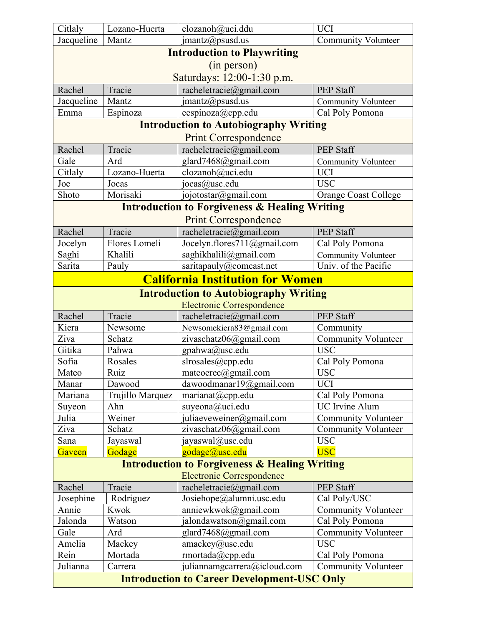| Citlaly                                                  | Lozano-Huerta     | clozanoh@uci.ddu                                         | <b>UCI</b>                               |
|----------------------------------------------------------|-------------------|----------------------------------------------------------|------------------------------------------|
| Jacqueline                                               | Mantz             | $j$ mantz@psusd.us                                       | <b>Community Volunteer</b>               |
|                                                          |                   | <b>Introduction to Playwriting</b>                       |                                          |
|                                                          |                   | (in person)                                              |                                          |
|                                                          |                   | Saturdays: 12:00-1:30 p.m.                               |                                          |
| Rachel                                                   | Tracie            | racheletracie@gmail.com                                  | <b>PEP Staff</b>                         |
| Jacqueline                                               | Mantz             | $j$ mantz@psusd.us                                       | <b>Community Volunteer</b>               |
| Emma                                                     | Espinoza          | eespinoza@cpp.edu                                        | Cal Poly Pomona                          |
|                                                          |                   | <b>Introduction to Autobiography Writing</b>             |                                          |
|                                                          |                   | <b>Print Correspondence</b>                              |                                          |
| Rachel                                                   | Tracie            | racheletracie@gmail.com                                  | <b>PEP Staff</b>                         |
| Gale                                                     | Ard               | glard7468@gmail.com                                      | <b>Community Volunteer</b>               |
| Citlaly                                                  | Lozano-Huerta     | clozanoh@uci.edu                                         | <b>UCI</b>                               |
| Joe                                                      | Jocas             | jocas@usc.edu                                            | <b>USC</b>                               |
| Shoto                                                    | Morisaki          | jojotostar@gmail.com                                     | <b>Orange Coast College</b>              |
|                                                          |                   | <b>Introduction to Forgiveness &amp; Healing Writing</b> |                                          |
|                                                          |                   | <b>Print Correspondence</b>                              |                                          |
| Rachel                                                   | Tracie            | racheletracie@gmail.com                                  | <b>PEP Staff</b>                         |
| Jocelyn                                                  | Flores Lomeli     | Jocelyn.flores711@gmail.com                              | Cal Poly Pomona                          |
| Saghi                                                    | Khalili           | saghikhalili@gmail.com                                   | <b>Community Volunteer</b>               |
| Sarita                                                   | Pauly             | saritapauly@comcast.net                                  | Univ. of the Pacific                     |
|                                                          |                   | <b>California Institution for Women</b>                  |                                          |
|                                                          |                   | <b>Introduction to Autobiography Writing</b>             |                                          |
|                                                          |                   | <b>Electronic Correspondence</b>                         |                                          |
| Rachel                                                   | Tracie            | racheletracie@gmail.com                                  | <b>PEP Staff</b>                         |
| Kiera                                                    | Newsome           | Newsomekiera83@gmail.com                                 | Community                                |
| Ziva                                                     | Schatz            | zivaschatz06@gmail.com                                   | <b>Community Volunteer</b>               |
| Gitika                                                   | Pahwa             | gpahwa@usc.edu                                           | <b>USC</b>                               |
| Sofia                                                    | Rosales           | slrosales@cpp.edu                                        | Cal Poly Pomona                          |
| Mateo                                                    | Ruiz              | mateoerec@gmail.com                                      | <b>USC</b>                               |
| Manar                                                    | Dawood            | dawoodmanar19@gmail.com                                  | <b>UCI</b>                               |
| Mariana                                                  | Trujillo Marquez  | marianat@cpp.edu                                         | Cal Poly Pomona                          |
| Suyeon                                                   | Ahn               | suyeona@uci.edu                                          | <b>UC</b> Irvine Alum                    |
| Julia                                                    | Weiner            | juliaeveweiner@gmail.com                                 | <b>Community Volunteer</b>               |
| Ziva                                                     | Schatz            | zivaschatz06@gmail.com                                   | <b>Community Volunteer</b>               |
| Sana                                                     | Jayaswal          | jayaswal@usc.edu                                         | <b>USC</b>                               |
| Gaveen                                                   | Godage            | godage@usc.edu                                           | <b>USC</b>                               |
| <b>Introduction to Forgiveness &amp; Healing Writing</b> |                   |                                                          |                                          |
|                                                          |                   | <b>Electronic Correspondence</b>                         |                                          |
| Rachel                                                   | Tracie            | racheletracie@gmail.com                                  | <b>PEP Staff</b>                         |
| Josephine                                                | Rodriguez         | Josiehope@alumni.usc.edu                                 | Cal Poly/USC                             |
| Annie                                                    | Kwok              | anniewkwok@gmail.com                                     | <b>Community Volunteer</b>               |
| Jalonda                                                  | Watson            | jalondawatson@gmail.com                                  | Cal Poly Pomona                          |
| Gale<br>Amelia                                           | Ard               | glard7468@gmail.com<br>amackey@usc.edu                   | <b>Community Volunteer</b><br><b>USC</b> |
| Rein                                                     | Mackey<br>Mortada |                                                          | Cal Poly Pomona                          |
| Julianna                                                 | Carrera           | rmortada@cpp.edu                                         | <b>Community Volunteer</b>               |
|                                                          |                   | juliannamgcarrera@icloud.com                             |                                          |
| <b>Introduction to Career Development-USC Only</b>       |                   |                                                          |                                          |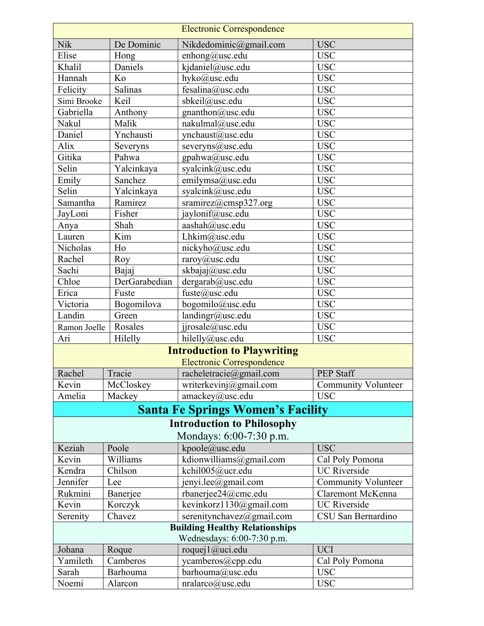| <b>Electronic Correspondence</b>                             |               |                                          |                            |  |
|--------------------------------------------------------------|---------------|------------------------------------------|----------------------------|--|
| Nik                                                          | De Dominic    | Nikdedominic@gmail.com                   | <b>USC</b>                 |  |
| Elise                                                        | Hong          | enhong@usc.edu                           | <b>USC</b>                 |  |
| Khalil                                                       | Daniels       | kjdaniel@usc.edu                         | <b>USC</b>                 |  |
| Hannah                                                       | Ko            | hyko@usc.edu                             | <b>USC</b>                 |  |
| Felicity                                                     | Salinas       | fesalina@usc.edu                         | <b>USC</b>                 |  |
| Simi Brooke                                                  | Keil          | sbkeil@usc.edu                           | <b>USC</b>                 |  |
| Gabriella                                                    | Anthony       | gnanthon@usc.edu                         | <b>USC</b>                 |  |
| Nakul                                                        | Malik         | nakulmal@usc.edu                         | <b>USC</b>                 |  |
| Daniel                                                       | Ynchausti     | ynchaust@usc.edu                         | <b>USC</b>                 |  |
| Alix                                                         | Severyns      | severyns@usc.edu                         | <b>USC</b>                 |  |
| Gitika                                                       | Pahwa         | gpahwa@usc.edu                           | <b>USC</b>                 |  |
| Selin                                                        | Yalcinkaya    | syalcink@usc.edu                         | <b>USC</b>                 |  |
| Emily                                                        | Sanchez       | emilymsa@usc.edu                         | <b>USC</b>                 |  |
| Selin                                                        | Yalcinkaya    | syalcink@usc.edu                         | <b>USC</b>                 |  |
| Samantha                                                     | Ramirez       | sramirez@cmsp327.org                     | <b>USC</b>                 |  |
| JayLoni                                                      | Fisher        | jaylonif@usc.edu                         | <b>USC</b>                 |  |
| Anya                                                         | Shah          | aashah@usc.edu                           | <b>USC</b>                 |  |
| Lauren                                                       | Kim           | Lhkim@usc.edu                            | <b>USC</b>                 |  |
| Nicholas                                                     | Ho            | nickyho@usc.edu                          | <b>USC</b>                 |  |
| Rachel                                                       | Roy           | raroy@usc.edu                            | <b>USC</b>                 |  |
| Sachi                                                        | Bajaj         | skbajaj@usc.edu                          | <b>USC</b>                 |  |
| Chloe                                                        | DerGarabedian | dergarab@usc.edu                         | <b>USC</b>                 |  |
| Erica                                                        | Fuste         | fuste@usc.edu                            | <b>USC</b>                 |  |
| Victoria                                                     | Bogomilova    | bogomilo@usc.edu                         | <b>USC</b>                 |  |
| Landin                                                       | Green         | landingr@usc.edu                         | <b>USC</b>                 |  |
| Ramon Joelle                                                 | Rosales       | jjrosale@usc.edu                         | <b>USC</b>                 |  |
| Ari                                                          | Hilelly       | hilelly@usc.edu                          | <b>USC</b>                 |  |
|                                                              |               | <b>Introduction to Playwriting</b>       |                            |  |
|                                                              |               | <b>Electronic Correspondence</b>         |                            |  |
| Rachel                                                       | Tracie        | racheletracie@gmail.com                  | <b>PEP Staff</b>           |  |
| Kevin                                                        | McCloskey     | writerkevinj@gmail.com                   | <b>Community Volunteer</b> |  |
| Amelia                                                       | Mackey        | amackey@usc.edu                          | <b>USC</b>                 |  |
|                                                              |               | <b>Santa Fe Springs Women's Facility</b> |                            |  |
|                                                              |               |                                          |                            |  |
| <b>Introduction to Philosophy</b><br>Mondays: 6:00-7:30 p.m. |               |                                          |                            |  |
| Keziah                                                       | Poole         | kpoole@usc.edu                           | <b>USC</b>                 |  |
| Kevin                                                        | Williams      | kdionwilliams@gmail.com                  | Cal Poly Pomona            |  |
| Kendra                                                       | Chilson       | kchil005@ucr.edu                         | <b>UC</b> Riverside        |  |
| Jennifer                                                     | Lee           | jenyi.lee@gmail.com                      | <b>Community Volunteer</b> |  |
| Rukmini                                                      | Banerjee      | rbanerjee24@cmc.edu                      | Claremont McKenna          |  |
| Kevin                                                        | Korczyk       | kevinkorz1130@gmail.com                  | <b>UC</b> Riverside        |  |
| Serenity                                                     | Chavez        | serenitynchavez@gmail.com                | CSU San Bernardino         |  |
| <b>Building Healthy Relationships</b>                        |               |                                          |                            |  |
| Wednesdays: 6:00-7:30 p.m.                                   |               |                                          |                            |  |
| Johana                                                       | Roque         | roquej $1$ @uci.edu                      | <b>UCI</b>                 |  |
| Yamileth                                                     | Camberos      | ycamberos@cpp.edu                        | Cal Poly Pomona            |  |
| Sarah                                                        | Barhouma      | barhouma@usc.edu                         | <b>USC</b>                 |  |
| Noemi                                                        | Alarcon       | nralarco@usc.edu                         | <b>USC</b>                 |  |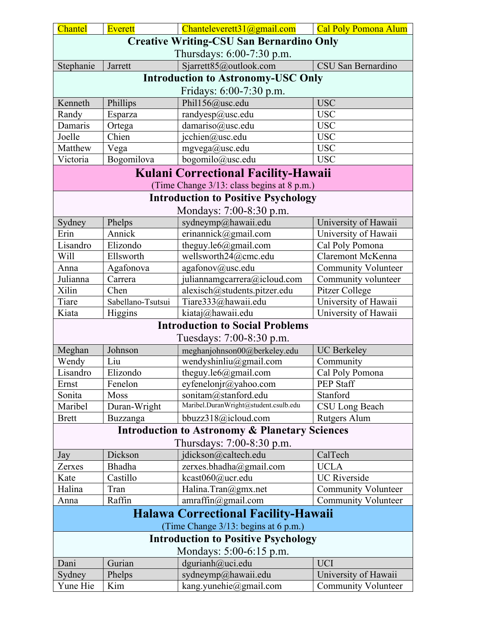| <b>Creative Writing-CSU San Bernardino Only</b>                                    |  |  |  |  |
|------------------------------------------------------------------------------------|--|--|--|--|
|                                                                                    |  |  |  |  |
| Thursdays: 6:00-7:30 p.m.                                                          |  |  |  |  |
| Stephanie<br>Jarrett<br>Sjarrett85@outlook.com<br>CSU San Bernardino               |  |  |  |  |
| <b>Introduction to Astronomy-USC Only</b>                                          |  |  |  |  |
| Fridays: 6:00-7:30 p.m.                                                            |  |  |  |  |
| <b>USC</b><br>Kenneth<br>Phillips<br>Phil156@usc.edu                               |  |  |  |  |
| <b>USC</b><br>randyesp@usc.edu<br>Randy<br>Esparza                                 |  |  |  |  |
| <b>USC</b><br>Ortega<br>damariso@usc.edu<br>Damaris                                |  |  |  |  |
| Chien<br><b>USC</b><br>Joelle<br>jcchien@usc.edu                                   |  |  |  |  |
| Matthew<br><b>USC</b><br>Vega<br>mgvega@usc.edu                                    |  |  |  |  |
| Bogomilova<br><b>USC</b><br>bogomilo@usc.edu<br>Victoria                           |  |  |  |  |
| <b>Kulani Correctional Facility-Hawaii</b>                                         |  |  |  |  |
| (Time Change 3/13: class begins at 8 p.m.)                                         |  |  |  |  |
| <b>Introduction to Positive Psychology</b>                                         |  |  |  |  |
| Mondays: 7:00-8:30 p.m.                                                            |  |  |  |  |
| sydneymp@hawaii.edu<br>University of Hawaii<br>Sydney<br>Phelps                    |  |  |  |  |
| Erin<br>Annick<br>University of Hawaii<br>erinannick@gmail.com                     |  |  |  |  |
| Lisandro<br>Elizondo<br>theguy.le $6@g$ mail.com<br>Cal Poly Pomona                |  |  |  |  |
| Will<br>Ellsworth<br>wellsworth24@cmc.edu<br>Claremont McKenna                     |  |  |  |  |
| Agafonova<br><b>Community Volunteer</b><br>agafonov@usc.edu<br>Anna                |  |  |  |  |
| Julianna<br>Carrera<br>juliannamgcarrera@icloud.com<br>Community volunteer         |  |  |  |  |
| Xilin<br>Chen<br>alexisch@students.pitzer.edu<br>Pitzer College                    |  |  |  |  |
| Tiare<br>University of Hawaii<br>Tiare333@hawaii.edu<br>Sabellano-Tsutsui          |  |  |  |  |
| kiataj@hawaii.edu<br>Kiata<br>University of Hawaii<br>Higgins                      |  |  |  |  |
| <b>Introduction to Social Problems</b>                                             |  |  |  |  |
| Tuesdays: 7:00-8:30 p.m.                                                           |  |  |  |  |
| Meghan<br>Johnson<br><b>UC</b> Berkeley<br>meghanjohnson00@berkeley.edu            |  |  |  |  |
| Liu<br>wendyshinliu@gmail.com<br>Wendy<br>Community                                |  |  |  |  |
| Elizondo<br>Cal Poly Pomona<br>Lisandro<br>theguy.le $6@g$ mail.com                |  |  |  |  |
| PEP Staff<br>Fenelon<br>eyfenelonjr@yahoo.com<br>Ernst                             |  |  |  |  |
| sonitam@stanford.edu<br>Stanford<br>Moss<br>Sonita                                 |  |  |  |  |
| Maribel.DuranWright@student.csulb.edu<br>Duran-Wright<br>CSU Long Beach<br>Maribel |  |  |  |  |
| bbuzz318@icloud.com<br><b>Brett</b><br>Rutgers Alum<br>Buzzanga                    |  |  |  |  |
| <b>Introduction to Astronomy &amp; Planetary Sciences</b>                          |  |  |  |  |
| Thursdays: 7:00-8:30 p.m.                                                          |  |  |  |  |
| jdickson@caltech.edu<br>CalTech<br>Dickson<br>Jay                                  |  |  |  |  |
| <b>UCLA</b><br>Bhadha<br>zerxes.bhadha@gmail.com<br>Zerxes                         |  |  |  |  |
| <b>UC</b> Riverside<br>Castillo<br>kcast060@ucr.edu<br>Kate                        |  |  |  |  |
| Halina<br>Halina.Tran $@g$ mx.net<br><b>Community Volunteer</b><br>Tran            |  |  |  |  |
| Raffin<br>amraffin@gmail.com<br><b>Community Volunteer</b><br>Anna                 |  |  |  |  |
| <b>Halawa Correctional Facility-Hawaii</b>                                         |  |  |  |  |
| (Time Change 3/13: begins at 6 p.m.)                                               |  |  |  |  |
| <b>Introduction to Positive Psychology</b>                                         |  |  |  |  |
| Mondays: 5:00-6:15 p.m.                                                            |  |  |  |  |
| Gurian<br>dgurianh@uci.edu<br><b>UCI</b><br>Dani                                   |  |  |  |  |
| sydneymp@hawaii.edu<br>University of Hawaii<br>Sydney<br>Phelps                    |  |  |  |  |
| Yune Hie<br>kang.yunehie@gmail.com<br>Kim<br><b>Community Volunteer</b>            |  |  |  |  |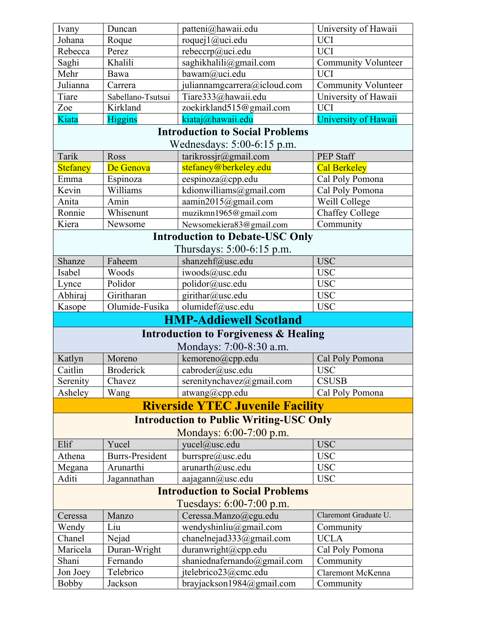| patteni@hawaii.edu<br>University of Hawaii<br>Ivany<br>Duncan                     |  |  |  |  |
|-----------------------------------------------------------------------------------|--|--|--|--|
| <b>UCI</b><br>roquej1@uci.edu<br>Johana<br>Roque                                  |  |  |  |  |
| <b>UCI</b><br>Rebecca<br>rebeccrp@uci.edu<br>Perez                                |  |  |  |  |
| Saghi<br>Khalili<br>saghikhalili@gmail.com<br><b>Community Volunteer</b>          |  |  |  |  |
| <b>UCI</b><br>Mehr<br>bawam@uci.edu<br>Bawa                                       |  |  |  |  |
| Julianna<br>juliannamgcarrera@icloud.com<br><b>Community Volunteer</b><br>Carrera |  |  |  |  |
| Tiare<br>Tiare333@hawaii.edu<br>University of Hawaii<br>Sabellano-Tsutsui         |  |  |  |  |
| <b>UCI</b><br>Zoe<br>Kirkland<br>zoekirkland515@gmail.com                         |  |  |  |  |
| kiataj@hawaii.edu<br>Kiata<br><b>Higgins</b><br>University of Hawaii              |  |  |  |  |
| <b>Introduction to Social Problems</b>                                            |  |  |  |  |
| Wednesdays: 5:00-6:15 p.m.                                                        |  |  |  |  |
| Tarik<br>tarikrossir@gmail.com<br><b>PEP Staff</b><br>Ross                        |  |  |  |  |
| stefaney@berkeley.edu<br><b>Stefaney</b><br><b>Cal Berkeley</b><br>De Genova      |  |  |  |  |
| Emma<br>Cal Poly Pomona<br>Espinoza<br>$e$ espinoza $(a)$ cpp.edu                 |  |  |  |  |
| Kevin<br>Williams<br>kdionwilliams@gmail.com<br>Cal Poly Pomona                   |  |  |  |  |
| aamin2015@gmail.com<br>Weill College<br>Anita<br>Amin                             |  |  |  |  |
| Ronnie<br>Whisenunt<br>muzikmn1965@gmail.com<br>Chaffey College                   |  |  |  |  |
| Kiera<br>Newsomekiera83@gmail.com<br>Community<br>Newsome                         |  |  |  |  |
| <b>Introduction to Debate-USC Only</b>                                            |  |  |  |  |
| Thursdays: 5:00-6:15 p.m.                                                         |  |  |  |  |
| shanzehf@usc.edu<br><b>USC</b><br>Shanze<br>Faheem                                |  |  |  |  |
| iwoods@usc.edu<br><b>USC</b><br>Isabel<br>Woods                                   |  |  |  |  |
| Polidor<br>polidor@usc.edu<br><b>USC</b><br>Lynce                                 |  |  |  |  |
| Abhiraj<br>Giritharan<br>girithar@usc.edu<br><b>USC</b>                           |  |  |  |  |
| Olumide-Fusika<br>olumidef@usc.edu<br><b>USC</b><br>Kasope                        |  |  |  |  |
| <b>HMP-Addiewell Scotland</b>                                                     |  |  |  |  |
| <b>Introduction to Forgiveness &amp; Healing</b>                                  |  |  |  |  |
| Mondays: 7:00-8:30 a.m.                                                           |  |  |  |  |
| kemoreno@cpp.edu<br>Katlyn<br>Moreno<br>Cal Poly Pomona                           |  |  |  |  |
| Caitlin<br>cabroder@usc.edu<br><b>Broderick</b><br><b>USC</b>                     |  |  |  |  |
| serenitynchavez@gmail.com<br><b>CSUSB</b><br>Serenity<br>Chavez                   |  |  |  |  |
| Asheley<br>atwang@cpp.edu<br>Wang<br>Cal Poly Pomona                              |  |  |  |  |
| <b>Riverside YTEC Juvenile Facility</b>                                           |  |  |  |  |
|                                                                                   |  |  |  |  |
| <b>Introduction to Public Writing-USC Only</b><br>Mondays: 6:00-7:00 p.m.         |  |  |  |  |
| <b>USC</b><br>Elif<br>yucel@usc.edu<br>Yucel                                      |  |  |  |  |
| <b>Burrs-President</b><br>burrspre@usc.edu<br><b>USC</b><br>Athena                |  |  |  |  |
| Arunarthi<br><b>USC</b><br>$arunarth@$ usc.edu<br>Megana                          |  |  |  |  |
| Aditi<br><b>USC</b><br>Jagannathan<br>aajagann@usc.edu                            |  |  |  |  |
| <b>Introduction to Social Problems</b>                                            |  |  |  |  |
| Tuesdays: 6:00-7:00 p.m.                                                          |  |  |  |  |
| Claremont Graduate U.<br>Ceressa.Manzo@cgu.edu<br>Ceressa<br>Manzo                |  |  |  |  |
| Liu<br>wendyshinliu@gmail.com<br>Community<br>Wendy                               |  |  |  |  |
| Nejad<br>chanelnejad333@gmail.com<br><b>UCLA</b><br>Chanel                        |  |  |  |  |
| Maricela<br>Duran-Wright<br>duranwright@cpp.edu<br>Cal Poly Pomona                |  |  |  |  |
| Shani<br>Fernando<br>shaniednafernando@gmail.com<br>Community                     |  |  |  |  |
| Jon Joey<br>Telebrico<br>jtelebrico23@cmc.edu<br>Claremont McKenna                |  |  |  |  |
| Jackson<br>brayjackson1984@gmail.com<br><b>Bobby</b><br>Community                 |  |  |  |  |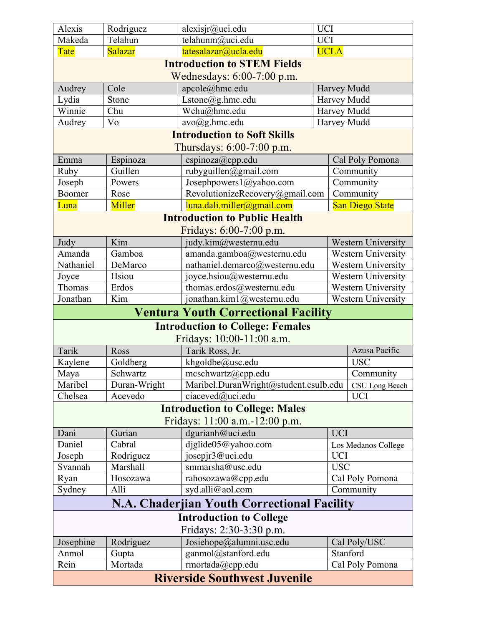| Alexis                                          | Rodriguez                                 | alesisir@uci.edu                                        | <b>UCI</b>                                            |                           |  |
|-------------------------------------------------|-------------------------------------------|---------------------------------------------------------|-------------------------------------------------------|---------------------------|--|
| Makeda                                          | Telahun                                   | telahunm@uci.edu                                        | <b>UCI</b>                                            |                           |  |
| Tate                                            | Salazar                                   | tatesalazar@ucla.edu                                    | <b>UCLA</b>                                           |                           |  |
|                                                 |                                           | <b>Introduction to STEM Fields</b>                      |                                                       |                           |  |
|                                                 |                                           | Wednesdays: $6:00-7:00$ p.m.                            |                                                       |                           |  |
| Audrey                                          | Cole                                      | apcole@hmc.edu                                          | Harvey Mudd                                           |                           |  |
| Lydia                                           | Stone                                     | Lstone(a)g.hmc.edu                                      | Harvey Mudd                                           |                           |  |
| Winnie                                          | Chu                                       | Wchu@hmc.edu                                            | Harvey Mudd                                           |                           |  |
| Audrey                                          | Vo                                        | $avo(\widehat{a})$ g.hmc.edu                            | Harvey Mudd                                           |                           |  |
|                                                 |                                           | <b>Introduction to Soft Skills</b>                      |                                                       |                           |  |
|                                                 |                                           | Thursdays: 6:00-7:00 p.m.                               |                                                       |                           |  |
| Emma                                            | Espinoza                                  | espinoza@cpp.edu                                        |                                                       | Cal Poly Pomona           |  |
| Ruby                                            | Guillen                                   | rubyguillen@gmail.com                                   |                                                       | Community                 |  |
| Joseph                                          | Powers                                    | Josephpowers1@yahoo.com                                 |                                                       | Community                 |  |
| Boomer                                          | Rose                                      | RevolutionizeRecovery@gmail.com                         |                                                       | Community                 |  |
| Luna                                            | Miller                                    | luna.dali.miller@gmail.com                              |                                                       | <b>San Diego State</b>    |  |
|                                                 |                                           | <b>Introduction to Public Health</b>                    |                                                       |                           |  |
|                                                 |                                           | Fridays: 6:00-7:00 p.m.                                 |                                                       |                           |  |
| Judy                                            | Kim                                       | judy.kim@westernu.edu                                   |                                                       | <b>Western University</b> |  |
| Amanda                                          | Gamboa                                    | amanda.gamboa@westernu.edu                              |                                                       | <b>Western University</b> |  |
| Nathaniel                                       | DeMarco                                   | nathaniel.demarco@westernu.edu                          |                                                       | Western University        |  |
| Joyce                                           | Hsiou                                     |                                                         | joyce.hsiou@westernu.edu<br><b>Western University</b> |                           |  |
| Thomas                                          | Erdos                                     | thomas.erdos@westernu.edu                               |                                                       | Western University        |  |
| Jonathan                                        | Kim                                       | jonathan.kim1@westernu.edu                              |                                                       | <b>Western University</b> |  |
|                                                 |                                           | <b>Ventura Youth Correctional Facility</b>              |                                                       |                           |  |
|                                                 |                                           | <b>Introduction to College: Females</b>                 |                                                       |                           |  |
|                                                 |                                           | Fridays: 10:00-11:00 a.m.                               |                                                       |                           |  |
| Tarik                                           | Ross                                      | Tarik Ross, Jr.                                         |                                                       | Azusa Pacific             |  |
| Kaylene                                         | Goldberg                                  | khgoldbe@usc.edu                                        | <b>USC</b>                                            |                           |  |
| Maya                                            | Schwartz                                  | mcschwartz@cpp.edu<br>Community                         |                                                       |                           |  |
| Maribel                                         | Duran-Wright                              | Maribel.DuranWright@student.csulb.edu<br>CSU Long Beach |                                                       |                           |  |
| Chelsea                                         | Acevedo<br>ciaceved@uci.edu<br><b>UCI</b> |                                                         |                                                       |                           |  |
|                                                 |                                           | <b>Introduction to College: Males</b>                   |                                                       |                           |  |
|                                                 |                                           | Fridays: 11:00 a.m.-12:00 p.m.                          |                                                       |                           |  |
| Dani                                            | Gurian                                    | dgurianh@uci.edu                                        | <b>UCI</b>                                            |                           |  |
| Daniel                                          | Cabral                                    | djglide05@yahoo.com                                     |                                                       | Los Medanos College       |  |
| Joseph                                          | Rodriguez                                 | josepjr3@uci.edu<br><b>UCI</b>                          |                                                       |                           |  |
| Svannah                                         | Marshall                                  | smmarsha@usc.edu                                        | <b>USC</b>                                            |                           |  |
| Ryan                                            | Hosozawa                                  | Cal Poly Pomona<br>rahosozawa@cpp.edu                   |                                                       |                           |  |
| Community<br>syd.alli@aol.com<br>Sydney<br>Alli |                                           |                                                         |                                                       |                           |  |
| N.A. Chaderjian Youth Correctional Facility     |                                           |                                                         |                                                       |                           |  |
| <b>Introduction to College</b>                  |                                           |                                                         |                                                       |                           |  |
| Fridays: 2:30-3:30 p.m.                         |                                           |                                                         |                                                       |                           |  |
| Josephine                                       |                                           |                                                         |                                                       |                           |  |
|                                                 | Rodriguez                                 | Josiehope@alumni.usc.edu                                |                                                       | Cal Poly/USC              |  |
| Anmol                                           | Gupta                                     | ganmol@stanford.edu                                     |                                                       | Stanford                  |  |
| Rein                                            | Mortada                                   | rmortada@cpp.edu                                        |                                                       | Cal Poly Pomona           |  |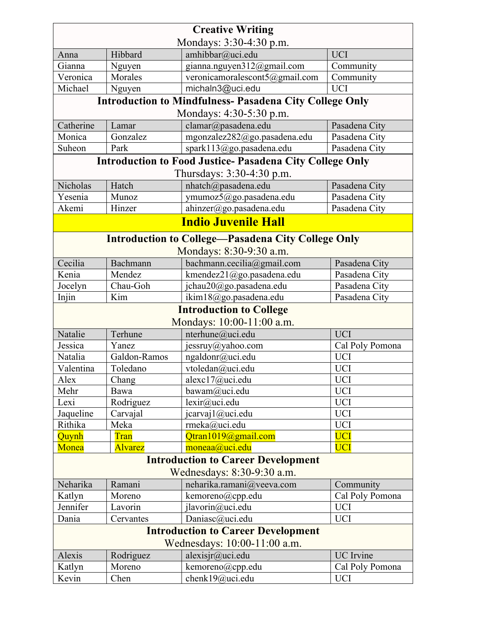| <b>Creative Writing</b>                                                 |                |                                                                 |                 |  |
|-------------------------------------------------------------------------|----------------|-----------------------------------------------------------------|-----------------|--|
| Mondays: 3:30-4:30 p.m.                                                 |                |                                                                 |                 |  |
| Anna                                                                    | Hibbard        | amhibbar@uci.edu                                                | <b>UCI</b>      |  |
| Gianna                                                                  | Nguyen         | gianna.nguyen312@gmail.com                                      | Community       |  |
| Veronica                                                                | Morales        | veronicamoralescont5@gmail.com                                  | Community       |  |
| Michael                                                                 | Nguyen         | michaln3@uci.edu                                                | <b>UCI</b>      |  |
|                                                                         |                | <b>Introduction to Mindfulness- Pasadena City College Only</b>  |                 |  |
|                                                                         |                | Mondays: 4:30-5:30 p.m.                                         |                 |  |
| Catherine                                                               | Lamar          | clamar@pasadena.edu                                             | Pasadena City   |  |
| Monica                                                                  | Gonzalez       | mgonzalez282@go.pasadena.edu                                    | Pasadena City   |  |
| Suheon                                                                  | Park           | spark113@go.pasadena.edu                                        | Pasadena City   |  |
|                                                                         |                | <b>Introduction to Food Justice- Pasadena City College Only</b> |                 |  |
|                                                                         |                | Thursdays: 3:30-4:30 p.m.                                       |                 |  |
| <b>Nicholas</b>                                                         | Hatch          | nhatch@pasadena.edu                                             | Pasadena City   |  |
| Yesenia                                                                 | Munoz          | ymumoz5@go.pasadena.edu                                         | Pasadena City   |  |
| Akemi                                                                   | Hinzer         | ahinzer@go.pasadena.edu                                         | Pasadena City   |  |
|                                                                         |                | <b>Indio Juvenile Hall</b>                                      |                 |  |
|                                                                         |                |                                                                 |                 |  |
|                                                                         |                | <b>Introduction to College—Pasadena City College Only</b>       |                 |  |
|                                                                         |                | Mondays: 8:30-9:30 a.m.                                         |                 |  |
| Cecilia                                                                 | Bachmann       | bachmann.cecilia@gmail.com                                      | Pasadena City   |  |
| Kenia                                                                   | Mendez         | kmendez21@go.pasadena.edu                                       | Pasadena City   |  |
| Jocelyn                                                                 | Chau-Goh       | jchau20@go.pasadena.edu                                         | Pasadena City   |  |
| Injin                                                                   | Kim            | ikim18@go.pasadena.edu                                          | Pasadena City   |  |
|                                                                         |                | <b>Introduction to College</b><br>Mondays: 10:00-11:00 a.m.     |                 |  |
| Natalie                                                                 | Terhune        | nterhune@uci.edu                                                | <b>UCI</b>      |  |
| Jessica                                                                 | Yanez          | jessruy@yahoo.com                                               | Cal Poly Pomona |  |
| Natalia                                                                 | Galdon-Ramos   | ngaldonr@uci.edu                                                | <b>UCI</b>      |  |
| Valentina                                                               | Toledano       | vtoledan@uci.edu                                                | <b>UCI</b>      |  |
| Alex                                                                    |                | alexc17@uci.edu                                                 | <b>UCI</b>      |  |
| Mehr                                                                    | Chang<br>Bawa  | bawam@uci.edu                                                   | <b>UCI</b>      |  |
| Lexi                                                                    | Rodriguez      | lexir@uci.edu                                                   | <b>UCI</b>      |  |
| Jaqueline                                                               | Carvajal       | jcarvaj1@uci.edu                                                | <b>UCI</b>      |  |
| Rithika                                                                 | Meka           | rmeka@uci.edu                                                   | <b>UCI</b>      |  |
| Quynh                                                                   | Tran           | Qtran1019@gmail.com                                             | <b>UCI</b>      |  |
| Monea                                                                   | <b>Alvarez</b> | moneaa@uci.edu                                                  | <b>UCI</b>      |  |
|                                                                         |                |                                                                 |                 |  |
| <b>Introduction to Career Development</b><br>Wednesdays: 8:30-9:30 a.m. |                |                                                                 |                 |  |
| Neharika                                                                | Ramani         | neharika.ramani@veeva.com                                       | Community       |  |
| Katlyn                                                                  | Moreno         | kemoreno@cpp.edu                                                | Cal Poly Pomona |  |
| Jennifer                                                                | Lavorin        | jlavorin@uci.edu                                                | <b>UCI</b>      |  |
| Dania                                                                   | Cervantes      | Daniasc@uci.edu                                                 | <b>UCI</b>      |  |
|                                                                         |                | <b>Introduction to Career Development</b>                       |                 |  |
| Wednesdays: 10:00-11:00 a.m.                                            |                |                                                                 |                 |  |
| Alexis                                                                  | Rodriguez      | alexisjr@uci.edu                                                | UC Irvine       |  |
| Katlyn                                                                  | Moreno         | kemoreno@cpp.edu                                                | Cal Poly Pomona |  |
| Kevin                                                                   | Chen           | chenk19@uci.edu                                                 | <b>UCI</b>      |  |